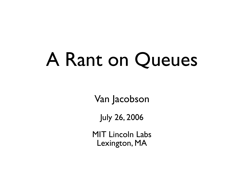# A Rant on Queues

Van Jacobson

July 26, 2006

MIT Lincoln Labs Lexington, MA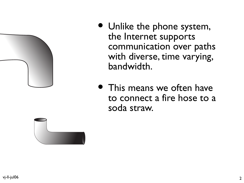

- Unlike the phone system, the Internet supports communication over paths with diverse, time varying, bandwidth.
- This means we often have to connect a fire hose to a soda straw.

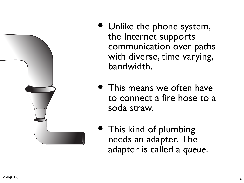

- Unlike the phone system, the Internet supports communication o ver paths with diverse , time varying, bandwidth.
- This means we often have to connect a fire hose to a soda straw.
- This kind of plumbing needs an adapter. The adapter is called a *queue* .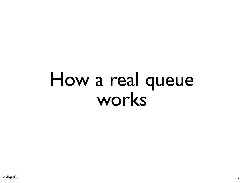# How a real queue works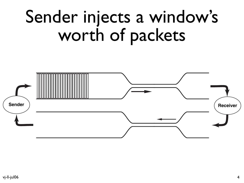# Sender injects a window's worth of packets

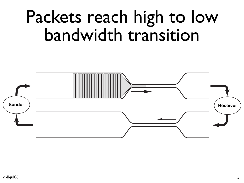# Packets reach high to low bandwidth transition

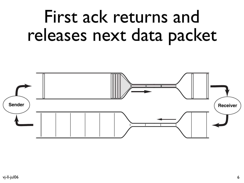## First ack returns and releases next data packet

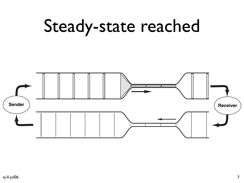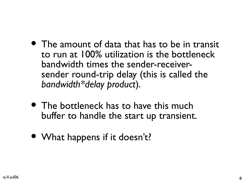- The amount of data that has to be in transit to run at 100% utilization is the bottleneck bandwidth times the sender-receiversender round-trip delay (this is called the *bandwidth\*delay product*).
- The bottleneck has to have this much buffer to handle the start up transient.
- What happens if it doesn't?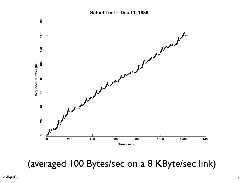

(averaged 100 Bytes/sec on a 8 KByte/sec link)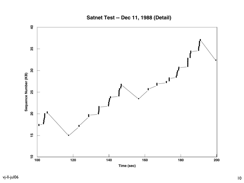**Satnet Test -- Dec 11, 1988 (Detail)**

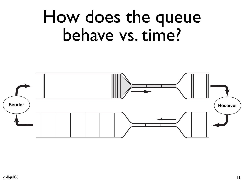### How does the queue behave vs. time?

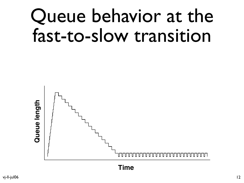# Queue behavior at the fast-to-slow transition

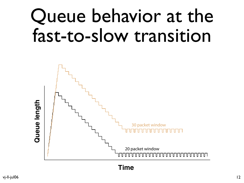# Queue behavior at the fast-to-slow transition

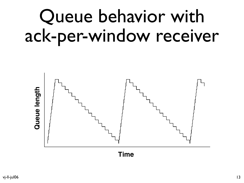# Queue behavior with ack-per-window receiver

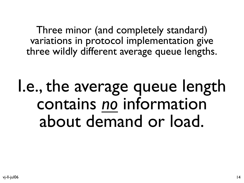Three minor (and completely standard) variations in protocol implementation give three wildly different average queue lengths.

I.e., the average queue length contains *no* information about demand or load.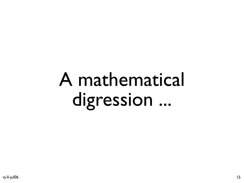# A mathematical digression ...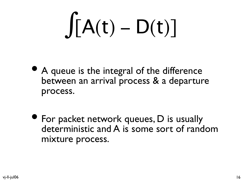# $\int [A(t) - D(t)]$

- A queue is the integral of the difference between an arrival process & a departure process.
- For packet network queues, D is usually deterministic and A is some sort of random mixture process.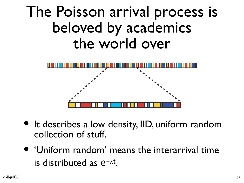#### The Poisson arrival process is beloved by academics the world over



- It describes a low density, IID, uniform random collection of stuff.
- 'Uniform random' means the interarrival time is distributed as  $e^{-\lambda t}$ .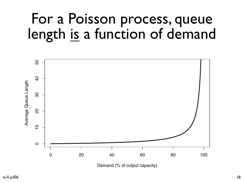#### For a Poisson process, queue length is a function of demand

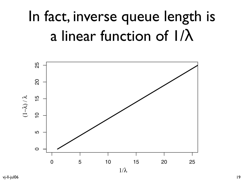### In fact, inverse queue length is a linear function of 1/λ



vj-ll-jul06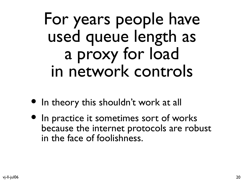### For years people have used queue length as a proxy for load in network controls

- In theory this shouldn't work at all
- In practice it sometimes sort of works because the internet protocols are robust in the face of foolishness.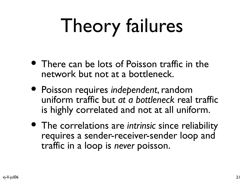# Theory failures

- There can be lots of Poisson traffic in the network but not at a bottleneck.
- Poisson requires *independent*, random uniform traffic but *at a bottleneck* real traffic is highly correlated and not at all uniform.
- The correlations are *intrinsic* since reliability requires a sender-receiver-sender loop and traffic in a loop is *never* poisson.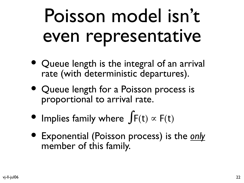# Poisson model isn't even representative

- Queue length is the integral of an arrival rate (with deterministic departures).
- Queue length for a Poisson process is proportional to arrival rate.
- Implies family where  $\int F(t) \propto F(t)$
- Exponential (Poisson process) is the *only* member of this family.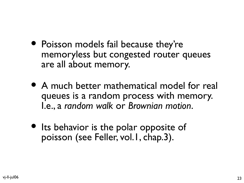- Poisson models fail because they're memoryless but congested router queues are all about memory.
- A much better mathematical model for real queues is a random process with memory. I.e., a *random walk* or *Brownian motion*.
- Its behavior is the polar opposite of poisson (see Feller, vol.1, chap.3).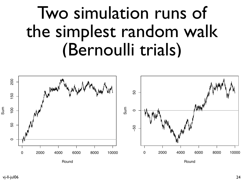### Two simulation runs of the simplest random walk (Bernoulli trials)

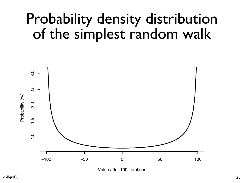#### Probability density distribution of the simplest random walk



Value after 100 iterations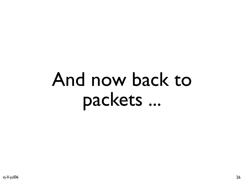# And now back to packets ...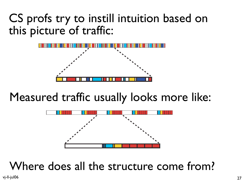#### CS profs try to instill intuition based on this picture of traffic:



#### Measured traffic usually looks more like:



Where does all the structure come from?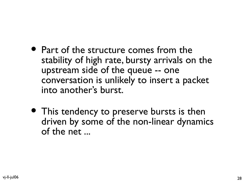- Part of the structure comes from the stability of high rate, bursty arrivals on the upstream side of the queue -- one conversation is unlikely to insert a packet into another's burst.
- This tendency to preserve bursts is then driven by some of the non-linear dynamics of the net ...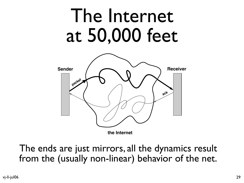# The Internet at 50,000 feet



**the Internet**

The ends are just mirrors, all the dynamics result from the (usually non-linear) behavior of the net.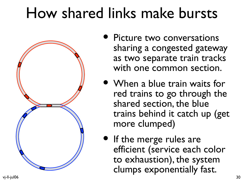#### How shared links make bursts



- Picture two conversations sharing a congested gateway as two separate train tracks with one common section.
- When a blue train waits for red trains to go through the shared section, the blue trains behind it catch up (get more clumped)
- If the merge rules are efficient (service each color to exhaustion), the system clumps exponentially fast.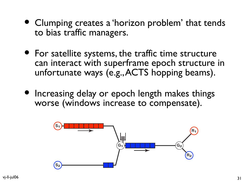- Clumping creates a 'horizon problem' that tends to bias traffic managers.
- For satellite systems, the traffic time structure can interact with superframe epoch structure in unfortunate ways (e.g.,ACTS hopping beams).
- Increasing delay or epoch length makes things worse (windows increase to compensate).

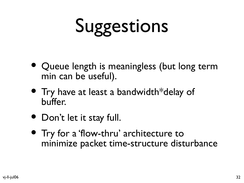# Suggestions

- Queue length is meaningless (but long term min can be useful).
- Try have at least a bandwidth\*delay of buffer.
- Don't let it stay full.
- Try for a 'flow-thru' architecture to minimize packet time-structure disturbance